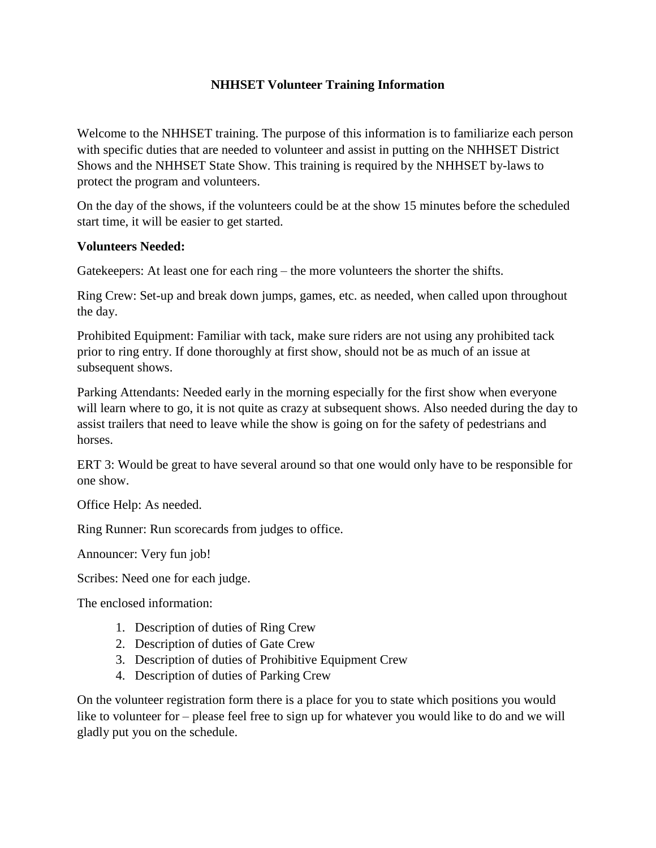### **NHHSET Volunteer Training Information**

Welcome to the NHHSET training. The purpose of this information is to familiarize each person with specific duties that are needed to volunteer and assist in putting on the NHHSET District Shows and the NHHSET State Show. This training is required by the NHHSET by-laws to protect the program and volunteers.

On the day of the shows, if the volunteers could be at the show 15 minutes before the scheduled start time, it will be easier to get started.

#### **Volunteers Needed:**

Gatekeepers: At least one for each ring – the more volunteers the shorter the shifts.

Ring Crew: Set-up and break down jumps, games, etc. as needed, when called upon throughout the day.

Prohibited Equipment: Familiar with tack, make sure riders are not using any prohibited tack prior to ring entry. If done thoroughly at first show, should not be as much of an issue at subsequent shows.

Parking Attendants: Needed early in the morning especially for the first show when everyone will learn where to go, it is not quite as crazy at subsequent shows. Also needed during the day to assist trailers that need to leave while the show is going on for the safety of pedestrians and horses.

ERT 3: Would be great to have several around so that one would only have to be responsible for one show.

Office Help: As needed.

Ring Runner: Run scorecards from judges to office.

Announcer: Very fun job!

Scribes: Need one for each judge.

The enclosed information:

- 1. Description of duties of Ring Crew
- 2. Description of duties of Gate Crew
- 3. Description of duties of Prohibitive Equipment Crew
- 4. Description of duties of Parking Crew

On the volunteer registration form there is a place for you to state which positions you would like to volunteer for – please feel free to sign up for whatever you would like to do and we will gladly put you on the schedule.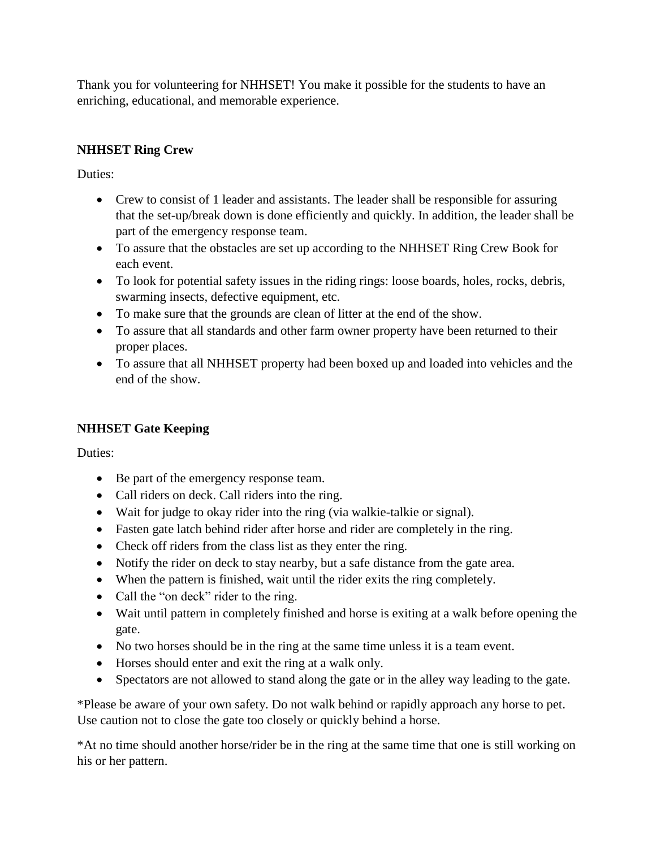Thank you for volunteering for NHHSET! You make it possible for the students to have an enriching, educational, and memorable experience.

# **NHHSET Ring Crew**

Duties:

- Crew to consist of 1 leader and assistants. The leader shall be responsible for assuring that the set-up/break down is done efficiently and quickly. In addition, the leader shall be part of the emergency response team.
- To assure that the obstacles are set up according to the NHHSET Ring Crew Book for each event.
- To look for potential safety issues in the riding rings: loose boards, holes, rocks, debris, swarming insects, defective equipment, etc.
- To make sure that the grounds are clean of litter at the end of the show.
- To assure that all standards and other farm owner property have been returned to their proper places.
- To assure that all NHHSET property had been boxed up and loaded into vehicles and the end of the show.

# **NHHSET Gate Keeping**

Duties:

- Be part of the emergency response team.
- Call riders on deck. Call riders into the ring.
- Wait for judge to okay rider into the ring (via walkie-talkie or signal).
- Fasten gate latch behind rider after horse and rider are completely in the ring.
- Check off riders from the class list as they enter the ring.
- Notify the rider on deck to stay nearby, but a safe distance from the gate area.
- When the pattern is finished, wait until the rider exits the ring completely.
- Call the "on deck" rider to the ring.
- Wait until pattern in completely finished and horse is exiting at a walk before opening the gate.
- No two horses should be in the ring at the same time unless it is a team event.
- Horses should enter and exit the ring at a walk only.
- Spectators are not allowed to stand along the gate or in the alley way leading to the gate.

\*Please be aware of your own safety. Do not walk behind or rapidly approach any horse to pet. Use caution not to close the gate too closely or quickly behind a horse.

\*At no time should another horse/rider be in the ring at the same time that one is still working on his or her pattern.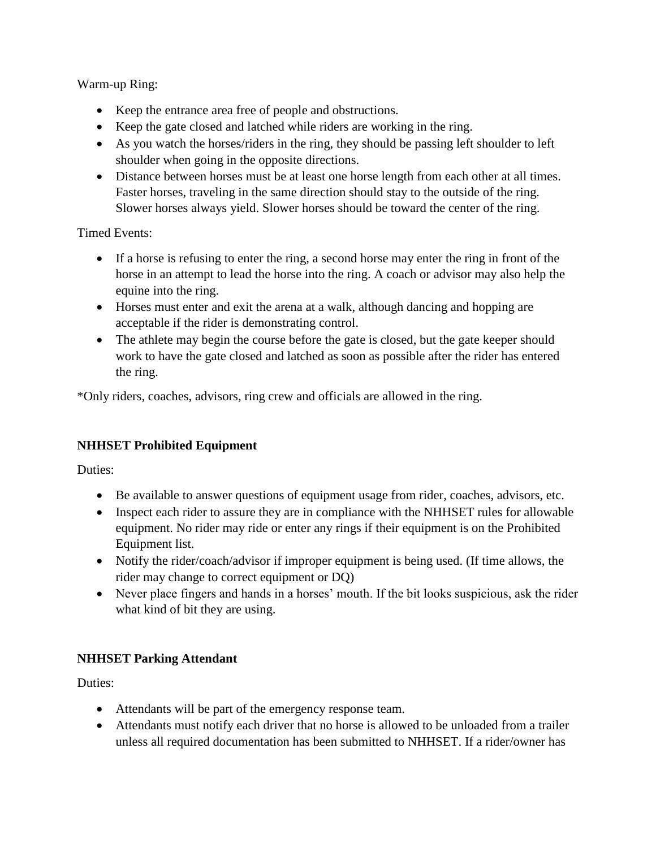Warm-up Ring:

- Keep the entrance area free of people and obstructions.
- Keep the gate closed and latched while riders are working in the ring.
- As you watch the horses/riders in the ring, they should be passing left shoulder to left shoulder when going in the opposite directions.
- Distance between horses must be at least one horse length from each other at all times. Faster horses, traveling in the same direction should stay to the outside of the ring. Slower horses always yield. Slower horses should be toward the center of the ring.

Timed Events:

- If a horse is refusing to enter the ring, a second horse may enter the ring in front of the horse in an attempt to lead the horse into the ring. A coach or advisor may also help the equine into the ring.
- Horses must enter and exit the arena at a walk, although dancing and hopping are acceptable if the rider is demonstrating control.
- The athlete may begin the course before the gate is closed, but the gate keeper should work to have the gate closed and latched as soon as possible after the rider has entered the ring.

\*Only riders, coaches, advisors, ring crew and officials are allowed in the ring.

## **NHHSET Prohibited Equipment**

Duties:

- Be available to answer questions of equipment usage from rider, coaches, advisors, etc.
- Inspect each rider to assure they are in compliance with the NHHSET rules for allowable equipment. No rider may ride or enter any rings if their equipment is on the Prohibited Equipment list.
- Notify the rider/coach/advisor if improper equipment is being used. (If time allows, the rider may change to correct equipment or DQ)
- Never place fingers and hands in a horses' mouth. If the bit looks suspicious, ask the rider what kind of bit they are using.

## **NHHSET Parking Attendant**

Duties:

- Attendants will be part of the emergency response team.
- Attendants must notify each driver that no horse is allowed to be unloaded from a trailer unless all required documentation has been submitted to NHHSET. If a rider/owner has